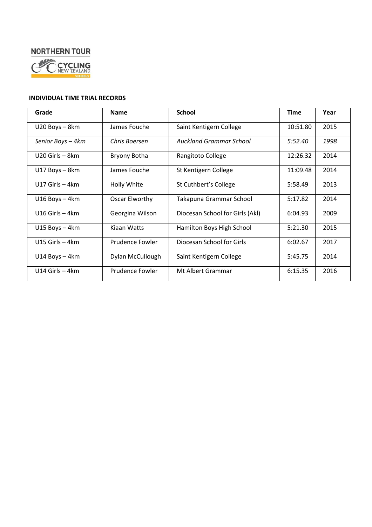# **NORTHERN TOUR**



#### **INDIVIDUAL TIME TRIAL RECORDS**

| Grade              | <b>Name</b>      | <b>School</b>                   | <b>Time</b> | Year |
|--------------------|------------------|---------------------------------|-------------|------|
| U20 Boys - 8km     | James Fouche     | Saint Kentigern College         | 10:51.80    | 2015 |
| Senior Boys - 4km  | Chris Boersen    | <b>Auckland Grammar School</b>  | 5:52.40     | 1998 |
| U20 Girls - 8km    | Bryony Botha     | Rangitoto College               | 12:26.32    | 2014 |
| U17 Boys - 8km     | James Fouche     | St Kentigern College            | 11:09.48    | 2014 |
| U17 Girls $-4km$   | Holly White      | St Cuthbert's College           | 5:58.49     | 2013 |
| $U16$ Boys $-$ 4km | Oscar Elworthy   | Takapuna Grammar School         | 5:17.82     | 2014 |
| U16 Girls $-4km$   | Georgina Wilson  | Diocesan School for Girls (Akl) | 6:04.93     | 2009 |
| $U15 Boys - 4km$   | Kiaan Watts      | Hamilton Boys High School       | 5:21.30     | 2015 |
| U15 Girls $-4km$   | Prudence Fowler  | Diocesan School for Girls       | 6:02.67     | 2017 |
| $U14$ Boys - 4km   | Dylan McCullough | Saint Kentigern College         | 5:45.75     | 2014 |
| $U14$ Girls $-4km$ | Prudence Fowler  | Mt Albert Grammar               | 6:15.35     | 2016 |